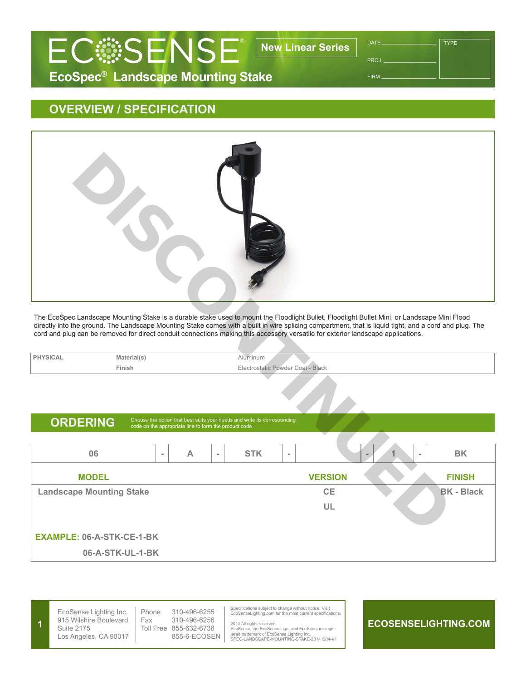

PROJ.

**TYPE** 

FIRM

## **OVERVIEW / SPECIFICATION**



The EcoSpec Landscape Mounting Stake is a durable stake used to mount the Floodlight Bullet, Floodlight Bullet Mini, or Landscape Mini Flood directly into the ground. The Landscape Mounting Stake comes with a built in wire splicing compartment, that is liquid tight, and a cord and plug. The cord and plug can be removed for direct conduit connections making this accessory versatile for exterior landscape applications.

| Material(s) | Alūminum                               |
|-------------|----------------------------------------|
| Finish      | t - Black<br>octrostatic Powder Coat - |

ORDERING Choose the option that best suits your needs and write its corresponding code on the appropriate line to form the product code

| 06                               | $\sim$ | Α | $\sim$ | <b>STK</b> | $\sim$ |                | $\equiv$ | $\sim$ | вĸ                |
|----------------------------------|--------|---|--------|------------|--------|----------------|----------|--------|-------------------|
| <b>MODEL</b>                     |        |   |        |            |        | <b>VERSION</b> |          |        | <b>FINISH</b>     |
| <b>Landscape Mounting Stake</b>  |        |   |        |            |        | <b>CE</b>      |          |        | <b>BK - Black</b> |
|                                  |        |   |        |            |        | UL             |          |        |                   |
|                                  |        |   |        |            |        |                |          |        |                   |
| <b>EXAMPLE: 06-A-STK-CE-1-BK</b> |        |   |        |            |        |                |          |        |                   |
| 06-A-STK-UL-1-BK                 |        |   |        |            |        |                |          |        |                   |